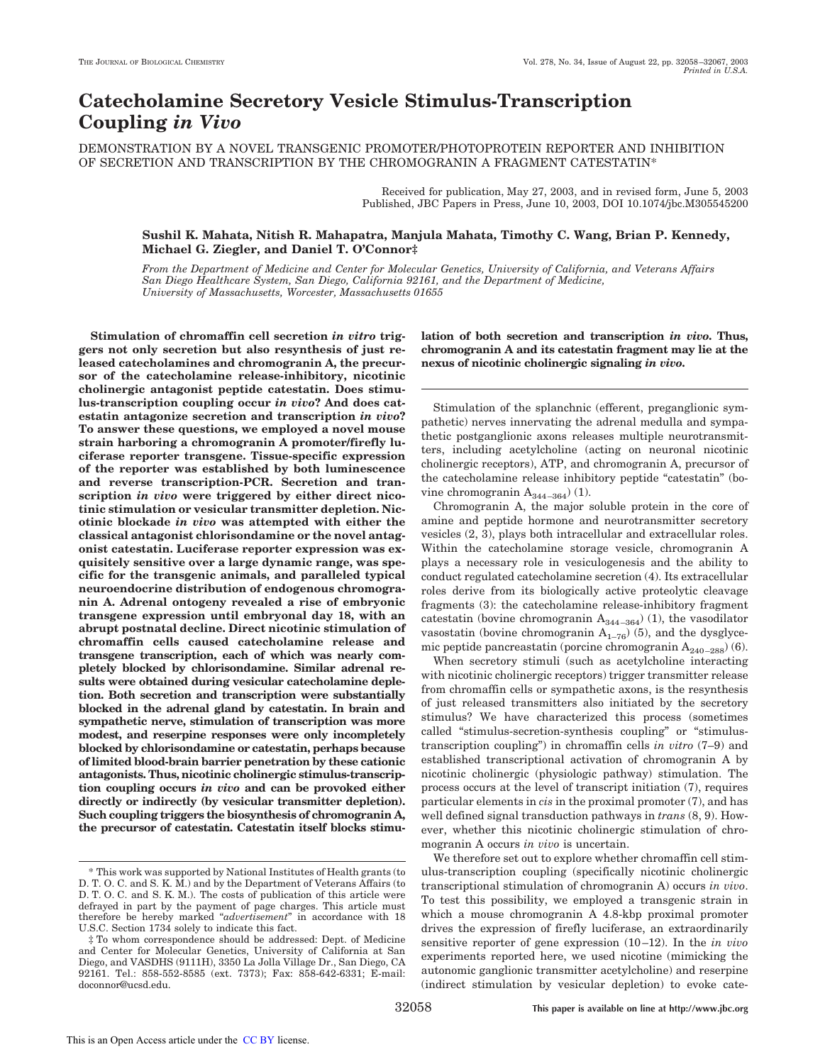# **Catecholamine Secretory Vesicle Stimulus-Transcription Coupling** *in Vivo*

DEMONSTRATION BY A NOVEL TRANSGENIC PROMOTER/PHOTOPROTEIN REPORTER AND INHIBITION OF SECRETION AND TRANSCRIPTION BY THE CHROMOGRANIN A FRAGMENT CATESTATIN\*

> Received for publication, May 27, 2003, and in revised form, June 5, 2003 Published, JBC Papers in Press, June 10, 2003, DOI 10.1074/jbc.M305545200

# **Sushil K. Mahata, Nitish R. Mahapatra, Manjula Mahata, Timothy C. Wang, Brian P. Kennedy, Michael G. Ziegler, and Daniel T. O'Connor‡**

*From the Department of Medicine and Center for Molecular Genetics, University of California, and Veterans Affairs San Diego Healthcare System, San Diego, California 92161, and the Department of Medicine, University of Massachusetts, Worcester, Massachusetts 01655*

**Stimulation of chromaffin cell secretion** *in vitro* **triggers not only secretion but also resynthesis of just released catecholamines and chromogranin A, the precursor of the catecholamine release-inhibitory, nicotinic cholinergic antagonist peptide catestatin. Does stimulus-transcription coupling occur** *in vivo***? And does catestatin antagonize secretion and transcription** *in vivo***? To answer these questions, we employed a novel mouse strain harboring a chromogranin A promoter/firefly luciferase reporter transgene. Tissue-specific expression of the reporter was established by both luminescence and reverse transcription-PCR. Secretion and transcription** *in vivo* **were triggered by either direct nicotinic stimulation or vesicular transmitter depletion. Nicotinic blockade** *in vivo* **was attempted with either the classical antagonist chlorisondamine or the novel antagonist catestatin. Luciferase reporter expression was exquisitely sensitive over a large dynamic range, was specific for the transgenic animals, and paralleled typical neuroendocrine distribution of endogenous chromogranin A. Adrenal ontogeny revealed a rise of embryonic transgene expression until embryonal day 18, with an abrupt postnatal decline. Direct nicotinic stimulation of chromaffin cells caused catecholamine release and transgene transcription, each of which was nearly completely blocked by chlorisondamine. Similar adrenal results were obtained during vesicular catecholamine depletion. Both secretion and transcription were substantially blocked in the adrenal gland by catestatin. In brain and sympathetic nerve, stimulation of transcription was more modest, and reserpine responses were only incompletely blocked by chlorisondamine or catestatin, perhaps because of limited blood-brain barrier penetration by these cationic antagonists. Thus, nicotinic cholinergic stimulus-transcription coupling occurs** *in vivo* **and can be provoked either directly or indirectly (by vesicular transmitter depletion). Such coupling triggers the biosynthesis of chromogranin A, the precursor of catestatin. Catestatin itself blocks stimu-**

**lation of both secretion and transcription** *in vivo***. Thus, chromogranin A and its catestatin fragment may lie at the nexus of nicotinic cholinergic signaling** *in vivo***.**

Stimulation of the splanchnic (efferent, preganglionic sympathetic) nerves innervating the adrenal medulla and sympathetic postganglionic axons releases multiple neurotransmitters, including acetylcholine (acting on neuronal nicotinic cholinergic receptors), ATP, and chromogranin A, precursor of the catecholamine release inhibitory peptide "catestatin" (bovine chromogranin  $A_{344-364}$  $(1)$ .

Chromogranin A, the major soluble protein in the core of amine and peptide hormone and neurotransmitter secretory vesicles (2, 3), plays both intracellular and extracellular roles. Within the catecholamine storage vesicle, chromogranin A plays a necessary role in vesiculogenesis and the ability to conduct regulated catecholamine secretion (4). Its extracellular roles derive from its biologically active proteolytic cleavage fragments (3): the catecholamine release-inhibitory fragment catestatin (bovine chromogranin  $A_{344-364}$ ) (1), the vasodilator vasostatin (bovine chromogranin  $A_{1-76}$ ) (5), and the dysglycemic peptide pancreastatin (porcine chromogranin  $A_{240-288}$ ) (6).

When secretory stimuli (such as acetylcholine interacting with nicotinic cholinergic receptors) trigger transmitter release from chromaffin cells or sympathetic axons, is the resynthesis of just released transmitters also initiated by the secretory stimulus? We have characterized this process (sometimes called "stimulus-secretion-synthesis coupling" or "stimulustranscription coupling") in chromaffin cells *in vitro* (7–9) and established transcriptional activation of chromogranin A by nicotinic cholinergic (physiologic pathway) stimulation. The process occurs at the level of transcript initiation (7), requires particular elements in *cis* in the proximal promoter (7), and has well defined signal transduction pathways in *trans* (8, 9). However, whether this nicotinic cholinergic stimulation of chromogranin A occurs *in vivo* is uncertain.

We therefore set out to explore whether chromaffin cell stimulus-transcription coupling (specifically nicotinic cholinergic transcriptional stimulation of chromogranin A) occurs *in vivo*. To test this possibility, we employed a transgenic strain in which a mouse chromogranin A 4.8-kbp proximal promoter drives the expression of firefly luciferase, an extraordinarily sensitive reporter of gene expression (10–12). In the *in vivo* experiments reported here, we used nicotine (mimicking the autonomic ganglionic transmitter acetylcholine) and reserpine (indirect stimulation by vesicular depletion) to evoke cate-

<sup>\*</sup> This work was supported by National Institutes of Health grants (to D. T. O. C. and S. K. M.) and by the Department of Veterans Affairs (to D. T. O. C. and S. K. M.). The costs of publication of this article were defrayed in part by the payment of page charges. This article must therefore be hereby marked "*advertisement*" in accordance with 18 U.S.C. Section 1734 solely to indicate this fact.

<sup>‡</sup> To whom correspondence should be addressed: Dept. of Medicine and Center for Molecular Genetics, University of California at San Diego, and VASDHS (9111H), 3350 La Jolla Village Dr., San Diego, CA 92161. Tel.: 858-552-8585 (ext. 7373); Fax: 858-642-6331; E-mail: doconnor@ucsd.edu.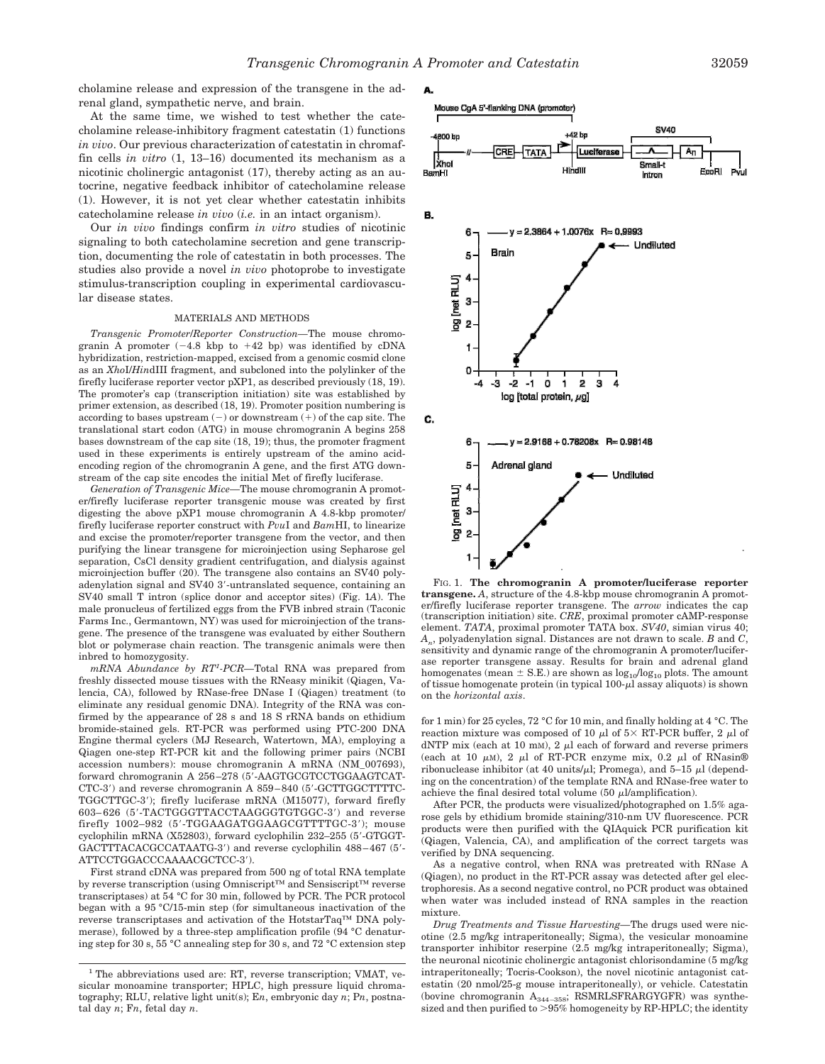A.

cholamine release and expression of the transgene in the adrenal gland, sympathetic nerve, and brain.

At the same time, we wished to test whether the catecholamine release-inhibitory fragment catestatin (1) functions *in vivo*. Our previous characterization of catestatin in chromaffin cells *in vitro* (1, 13–16) documented its mechanism as a nicotinic cholinergic antagonist (17), thereby acting as an autocrine, negative feedback inhibitor of catecholamine release (1). However, it is not yet clear whether catestatin inhibits catecholamine release *in vivo* (*i.e.* in an intact organism).

Our *in vivo* findings confirm *in vitro* studies of nicotinic signaling to both catecholamine secretion and gene transcription, documenting the role of catestatin in both processes. The studies also provide a novel *in vivo* photoprobe to investigate stimulus-transcription coupling in experimental cardiovascular disease states.

#### MATERIALS AND METHODS

*Transgenic Promoter*/*Reporter Construction—*The mouse chromogranin A promoter  $(-4.8 \text{ kbp to } +42 \text{ bp})$  was identified by cDNA hybridization, restriction-mapped, excised from a genomic cosmid clone as an *Xho*I/*Hin*dIII fragment, and subcloned into the polylinker of the firefly luciferase reporter vector pXP1, as described previously (18, 19). The promoter's cap (transcription initiation) site was established by primer extension, as described (18, 19). Promoter position numbering is according to bases upstream  $(-)$  or downstream  $(+)$  of the cap site. The translational start codon (ATG) in mouse chromogranin A begins 258 bases downstream of the cap site (18, 19); thus, the promoter fragment used in these experiments is entirely upstream of the amino acidencoding region of the chromogranin A gene, and the first ATG downstream of the cap site encodes the initial Met of firefly luciferase.

*Generation of Transgenic Mice—*The mouse chromogranin A promoter/firefly luciferase reporter transgenic mouse was created by first digesting the above pXP1 mouse chromogranin A 4.8-kbp promoter/ firefly luciferase reporter construct with *Pvu*I and *Bam*HI, to linearize and excise the promoter/reporter transgene from the vector, and then purifying the linear transgene for microinjection using Sepharose gel separation, CsCl density gradient centrifugation, and dialysis against microinjection buffer (20). The transgene also contains an SV40 polyadenylation signal and SV40 3-untranslated sequence, containing an SV40 small T intron (splice donor and acceptor sites) (Fig. 1*A*). The male pronucleus of fertilized eggs from the FVB inbred strain (Taconic Farms Inc., Germantown, NY) was used for microinjection of the transgene. The presence of the transgene was evaluated by either Southern blot or polymerase chain reaction. The transgenic animals were then inbred to homozygosity.

*mRNA Abundance by RT<sup>1</sup> -PCR—*Total RNA was prepared from freshly dissected mouse tissues with the RNeasy minikit (Qiagen, Valencia, CA), followed by RNase-free DNase I (Qiagen) treatment (to eliminate any residual genomic DNA). Integrity of the RNA was confirmed by the appearance of 28 s and 18 S rRNA bands on ethidium bromide-stained gels. RT-PCR was performed using PTC-200 DNA Engine thermal cyclers (MJ Research, Watertown, MA), employing a Qiagen one-step RT-PCR kit and the following primer pairs (NCBI accession numbers): mouse chromogranin A mRNA (NM\_007693), forward chromogranin A 256–278 (5-AAGTGCGTCCTGGAAGTCAT-CTC-3) and reverse chromogranin A 859–840 (5-GCTTGGCTTTTC-TGGCTTGC-3); firefly luciferase mRNA (M15077), forward firefly 603– 626 (5-TACTGGGTTACCTAAGGGTGTGGC-3) and reverse firefly 1002–982 (5-TGGAAGATGGAAGCGTTTTGC-3); mouse cyclophilin mRNA (X52803), forward cyclophilin 232–255 (5-GTGGT-GACTTTACACGCCATAATG-3) and reverse cyclophilin 488–467 (5- ATTCCTGGACCCAAAACGCTCC-3).

First strand cDNA was prepared from 500 ng of total RNA template by reverse transcription (using Omniscript™ and Sensiscript™ reverse transcriptases) at 54 °C for 30 min, followed by PCR. The PCR protocol began with a 95 °C/15-min step (for simultaneous inactivation of the reverse transcriptases and activation of the HotstarTaq™ DNA polymerase), followed by a three-step amplification profile (94 °C denaturing step for 30 s, 55 °C annealing step for 30 s, and 72 °C extension step





FIG. 1. **The chromogranin A promoter/luciferase reporter transgene.** *A*, structure of the 4.8-kbp mouse chromogranin A promoter/firefly luciferase reporter transgene. The *arrow* indicates the cap (transcription initiation) site. *CRE*, proximal promoter cAMP-response element. *TATA*, proximal promoter TATA box. *SV40*, simian virus 40; *An* , polyadenylation signal. Distances are not drawn to scale. *B* and *C*, sensitivity and dynamic range of the chromogranin A promoter/luciferase reporter transgene assay. Results for brain and adrenal gland homogenates (mean  $\pm$  S.E.) are shown as  $\log_{10}/\log_{10}$  plots. The amount of tissue homogenate protein (in typical  $100-\mu$ ) assay aliquots) is shown on the *horizontal axis*.

for 1 min) for 25 cycles, 72 °C for 10 min, and finally holding at 4 °C. The reaction mixture was composed of 10  $\mu$ l of 5 × RT-PCR buffer, 2  $\mu$ l of dNTP mix (each at 10 mM),  $2 \mu$ l each of forward and reverse primers (each at 10  $\mu$ M), 2  $\mu$ l of RT-PCR enzyme mix, 0.2  $\mu$ l of RNasin® ribonuclease inhibitor (at 40 units/ $\mu$ l; Promega), and 5–15  $\mu$ l (depending on the concentration) of the template RNA and RNase-free water to achieve the final desired total volume (50  $\mu$ l/amplification).

After PCR, the products were visualized/photographed on 1.5% agarose gels by ethidium bromide staining/310-nm UV fluorescence. PCR products were then purified with the QIAquick PCR purification kit (Qiagen, Valencia, CA), and amplification of the correct targets was verified by DNA sequencing.

As a negative control, when RNA was pretreated with RNase A (Qiagen), no product in the RT-PCR assay was detected after gel electrophoresis. As a second negative control, no PCR product was obtained when water was included instead of RNA samples in the reaction mixture.

*Drug Treatments and Tissue Harvesting—*The drugs used were nicotine (2.5 mg/kg intraperitoneally; Sigma), the vesicular monoamine transporter inhibitor reserpine (2.5 mg/kg intraperitoneally; Sigma), the neuronal nicotinic cholinergic antagonist chlorisondamine (5 mg/kg intraperitoneally; Tocris-Cookson), the novel nicotinic antagonist catestatin (20 nmol/25-g mouse intraperitoneally), or vehicle. Catestatin (bovine chromogranin  $A_{344-358}$ ; RSMRLSFRARGYGFR) was synthe-<br>sized and then purified to >95% homogeneity by RP-HPLC; the identity

<sup>&</sup>lt;sup>1</sup> The abbreviations used are: RT, reverse transcription; VMAT, vesicular monoamine transporter; HPLC, high pressure liquid chromatography; RLU, relative light unit(s); E*n*, embryonic day *n*; P*n*, postnatal day *n*; F*n*, fetal day *n*.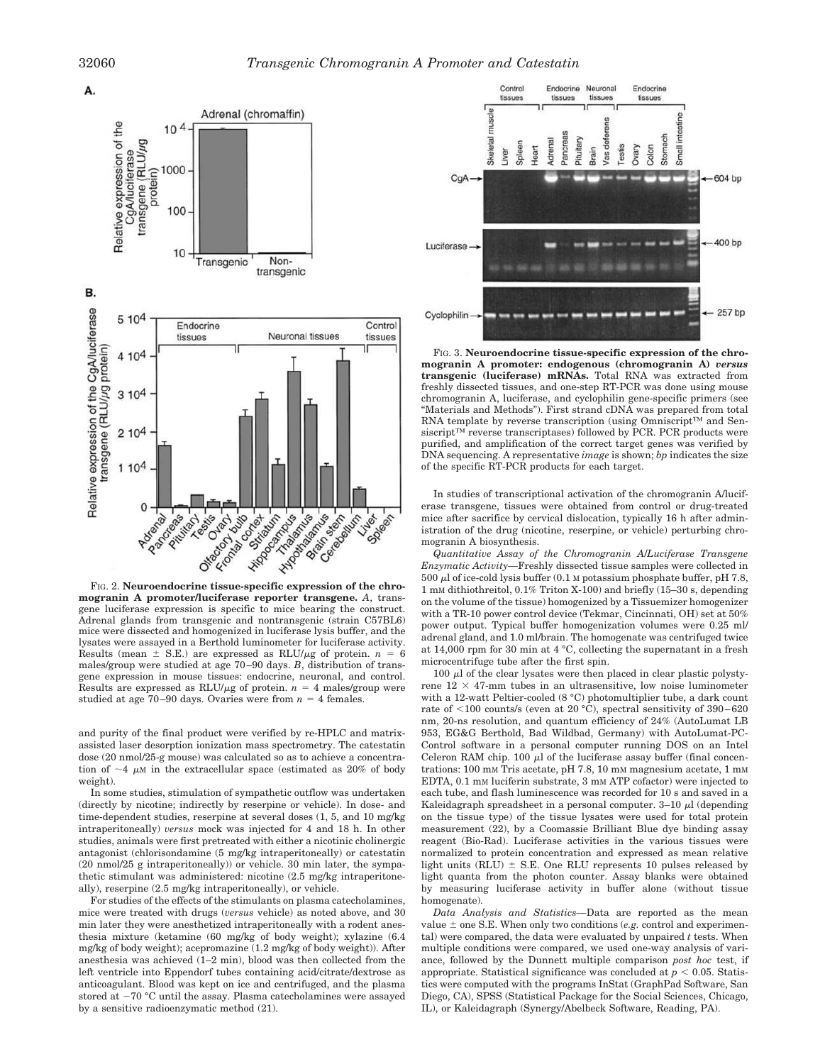

**mogranin A promoter/luciferase reporter transgene.** *A*, transgene luciferase expression is specific to mice bearing the construct. Adrenal glands from transgenic and nontransgenic (strain C57BL6) mice were dissected and homogenized in luciferase lysis buffer, and the lysates were assayed in a Berthold luminometer for luciferase activity. Results (mean  $\pm$  S.E.) are expressed as RLU/ $\mu$ g of protein. *n* = 6 males/group were studied at age 70–90 days. *B*, distribution of transgene expression in mouse tissues: endocrine, neuronal, and control. Results are expressed as RLU/ $\mu$ g of protein. *n* = 4 males/group were studied at age  $70-90$  days. Ovaries were from  $n = 4$  females.

and purity of the final product were verified by re-HPLC and matrixassisted laser desorption ionization mass spectrometry. The catestatin dose (20 nmol/25-g mouse) was calculated so as to achieve a concentration of  $\sim$ 4  $\mu$ M in the extracellular space (estimated as 20% of body weight).

In some studies, stimulation of sympathetic outflow was undertaken (directly by nicotine; indirectly by reserpine or vehicle). In dose- and time-dependent studies, reserpine at several doses (1, 5, and 10 mg/kg intraperitoneally) *versus* mock was injected for 4 and 18 h. In other studies, animals were first pretreated with either a nicotinic cholinergic antagonist (chlorisondamine (5 mg/kg intraperitoneally) or catestatin (20 nmol/25 g intraperitoneally)) or vehicle. 30 min later, the sympathetic stimulant was administered: nicotine (2.5 mg/kg intraperitoneally), reserpine (2.5 mg/kg intraperitoneally), or vehicle.

For studies of the effects of the stimulants on plasma catecholamines, mice were treated with drugs (*versus* vehicle) as noted above, and 30 min later they were anesthetized intraperitoneally with a rodent anesthesia mixture (ketamine (60 mg/kg of body weight); xylazine (6.4 mg/kg of body weight); acepromazine (1.2 mg/kg of body weight)). After anesthesia was achieved (1–2 min), blood was then collected from the left ventricle into Eppendorf tubes containing acid/citrate/dextrose as anticoagulant. Blood was kept on ice and centrifuged, and the plasma stored at  $-70$  °C until the assay. Plasma catecholamines were assayed by a sensitive radioenzymatic method (21).



FIG. 3. **Neuroendocrine tissue-specific expression of the chromogranin A promoter: endogenous (chromogranin A)** *versus* **transgenic (luciferase) mRNAs.** Total RNA was extracted from freshly dissected tissues, and one-step RT-PCR was done using mouse chromogranin A, luciferase, and cyclophilin gene-specific primers (see "Materials and Methods"). First strand cDNA was prepared from total RNA template by reverse transcription (using Omniscript™ and Sensiscript™ reverse transcriptases) followed by PCR. PCR products were purified, and amplification of the correct target genes was verified by DNA sequencing. A representative *image* is shown; *bp* indicates the size of the specific RT-PCR products for each target.

In studies of transcriptional activation of the chromogranin A/luciferase transgene, tissues were obtained from control or drug-treated mice after sacrifice by cervical dislocation, typically 16 h after administration of the drug (nicotine, reserpine, or vehicle) perturbing chromogranin A biosynthesis.

*Quantitative Assay of the Chromogranin A*/*Luciferase Transgene Enzymatic Activity—*Freshly dissected tissue samples were collected in  $500 \mu$ l of ice-cold lysis buffer (0.1 M potassium phosphate buffer, pH 7.8, 1 mM dithiothreitol, 0.1% Triton X-100) and briefly (15–30 s, depending on the volume of the tissue) homogenized by a Tissuemizer homogenizer with a TR-10 power control device (Tekmar, Cincinnati, OH) set at 50% power output. Typical buffer homogenization volumes were 0.25 ml/ adrenal gland, and 1.0 ml/brain. The homogenate was centrifuged twice at 14,000 rpm for 30 min at 4 °C, collecting the supernatant in a fresh microcentrifuge tube after the first spin.

 $100 \mu l$  of the clear lysates were then placed in clear plastic polystyrene  $12 \times 47$ -mm tubes in an ultrasensitive, low noise luminometer with a 12-watt Peltier-cooled (8 °C) photomultiplier tube, a dark count rate of  $\leq 100$  counts/s (even at 20 °C), spectral sensitivity of 390–620 nm, 20-ns resolution, and quantum efficiency of 24% (AutoLumat LB 953, EG&G Berthold, Bad Wildbad, Germany) with AutoLumat-PC-Control software in a personal computer running DOS on an Intel Celeron RAM chip.  $100 \mu l$  of the luciferase assay buffer (final concentrations: 100 mM Tris acetate, pH 7.8, 10 mM magnesium acetate, 1 mM EDTA, 0.1 mM luciferin substrate, 3 mM ATP cofactor) were injected to each tube, and flash luminescence was recorded for 10 s and saved in a Kaleidagraph spreadsheet in a personal computer.  $3-10 \mu l$  (depending on the tissue type) of the tissue lysates were used for total protein measurement (22), by a Coomassie Brilliant Blue dye binding assay reagent (Bio-Rad). Luciferase activities in the various tissues were normalized to protein concentration and expressed as mean relative light units (RLU)  $\pm$  S.E. One RLU represents 10 pulses released by light quanta from the photon counter. Assay blanks were obtained by measuring luciferase activity in buffer alone (without tissue homogenate).

*Data Analysis and Statistics—*Data are reported as the mean value  $\pm$  one S.E. When only two conditions (*e.g.* control and experimental) were compared, the data were evaluated by unpaired *t* tests. When multiple conditions were compared, we used one-way analysis of variance, followed by the Dunnett multiple comparison *post hoc* test, if appropriate. Statistical significance was concluded at  $p < 0.05$ . Statistics were computed with the programs InStat (GraphPad Software, San Diego, CA), SPSS (Statistical Package for the Social Sciences, Chicago, IL), or Kaleidagraph (Synergy/Abelbeck Software, Reading, PA).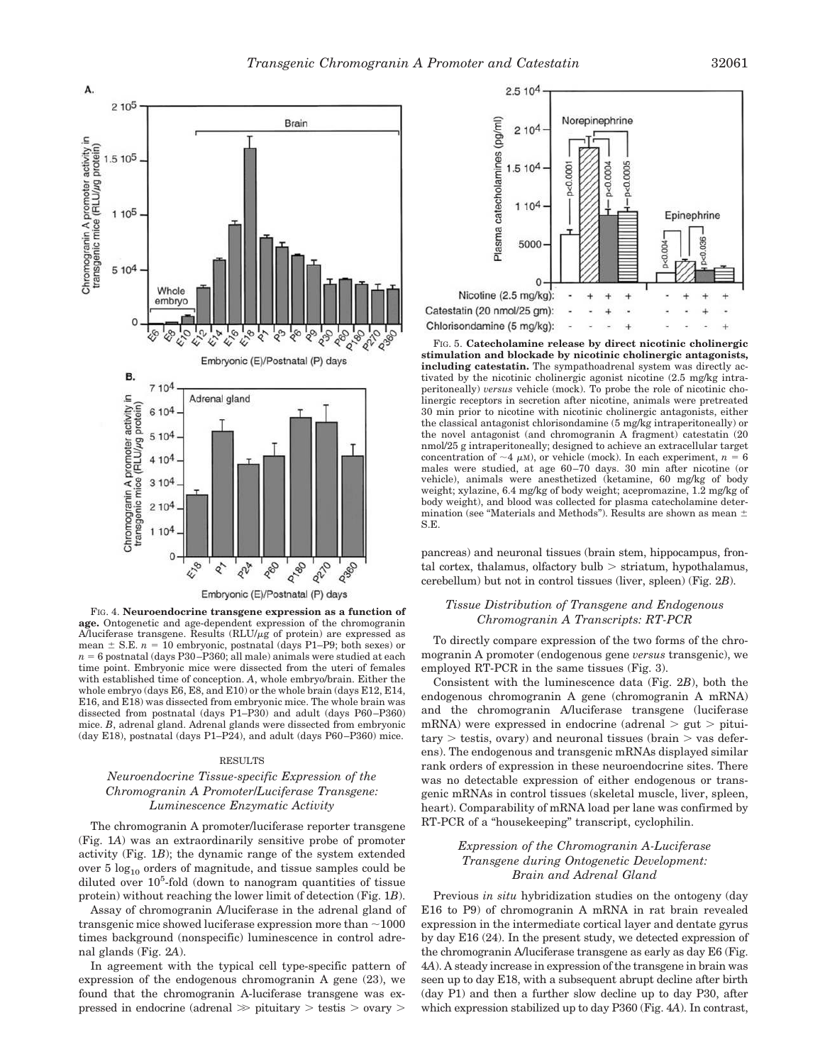

FIG. 4. **Neuroendocrine transgene expression as a function of age.** Ontogenetic and age-dependent expression of the chromogranin A/luciferase transgene. Results  $(RLU/\mu g)$  of protein) are expressed as mean  $\pm$  S.E.  $n = 10$  embryonic, postnatal (days P1–P9; both sexes) or  $n = 6$  postnatal (days P30–P360; all male) animals were studied at each time point. Embryonic mice were dissected from the uteri of females with established time of conception. *A*, whole embryo/brain. Either the whole embryo (days E6, E8, and E10) or the whole brain (days E12, E14, E16, and E18) was dissected from embryonic mice. The whole brain was dissected from postnatal (days P1–P30) and adult (days P60–P360) mice. *B*, adrenal gland. Adrenal glands were dissected from embryonic (day E18), postnatal (days P1–P24), and adult (days P60–P360) mice.

### RESULTS

# *Neuroendocrine Tissue-specific Expression of the Chromogranin A Promoter*/*Luciferase Transgene: Luminescence Enzymatic Activity*

The chromogranin A promoter/luciferase reporter transgene (Fig. 1*A*) was an extraordinarily sensitive probe of promoter activity (Fig. 1*B*); the dynamic range of the system extended over 5  $log_{10}$  orders of magnitude, and tissue samples could be diluted over  $10<sup>5</sup>$ -fold (down to nanogram quantities of tissue protein) without reaching the lower limit of detection (Fig. 1*B*).

Assay of chromogranin A/luciferase in the adrenal gland of transgenic mice showed luciferase expression more than  $\sim$  1000 times background (nonspecific) luminescence in control adrenal glands (Fig. 2*A*).

In agreement with the typical cell type-specific pattern of expression of the endogenous chromogranin A gene (23), we found that the chromogranin A-luciferase transgene was expressed in endocrine (adrenal  $\gg$  pituitary  $>$  testis  $>$  ovary  $>$ 



FIG. 5. **Catecholamine release by direct nicotinic cholinergic stimulation and blockade by nicotinic cholinergic antagonists, including catestatin.** The sympathoadrenal system was directly activated by the nicotinic cholinergic agonist nicotine (2.5 mg/kg intraperitoneally) *versus* vehicle (mock). To probe the role of nicotinic cholinergic receptors in secretion after nicotine, animals were pretreated 30 min prior to nicotine with nicotinic cholinergic antagonists, either the classical antagonist chlorisondamine (5 mg/kg intraperitoneally) or the novel antagonist (and chromogranin A fragment) catestatin (20 nmol/25 g intraperitoneally; designed to achieve an extracellular target concentration of  $\sim$ 4  $\mu$ M), or vehicle (mock). In each experiment, *n* = 6 males were studied, at age 60–70 days. 30 min after nicotine (or vehicle), animals were anesthetized (ketamine, 60 mg/kg of body weight; xylazine, 6.4 mg/kg of body weight; acepromazine, 1.2 mg/kg of body weight), and blood was collected for plasma catecholamine determination (see "Materials and Methods"). Results are shown as mean  $\pm$ S.E.

pancreas) and neuronal tissues (brain stem, hippocampus, frontal cortex, thalamus, olfactory bulb  $>$  striatum, hypothalamus, cerebellum) but not in control tissues (liver, spleen) (Fig. 2*B*).

# *Tissue Distribution of Transgene and Endogenous Chromogranin A Transcripts: RT-PCR*

To directly compare expression of the two forms of the chromogranin A promoter (endogenous gene *versus* transgenic), we employed RT-PCR in the same tissues (Fig. 3).

Consistent with the luminescence data (Fig. 2*B*), both the endogenous chromogranin A gene (chromogranin A mRNA) and the chromogranin A/luciferase transgene (luciferase mRNA) were expressed in endocrine (adrenal  $>$  gut  $>$  pitui $tary$  > testis, ovary) and neuronal tissues (brain > vas deferens). The endogenous and transgenic mRNAs displayed similar rank orders of expression in these neuroendocrine sites. There was no detectable expression of either endogenous or transgenic mRNAs in control tissues (skeletal muscle, liver, spleen, heart). Comparability of mRNA load per lane was confirmed by RT-PCR of a "housekeeping" transcript, cyclophilin.

# *Expression of the Chromogranin A-Luciferase Transgene during Ontogenetic Development: Brain and Adrenal Gland*

Previous *in situ* hybridization studies on the ontogeny (day E16 to P9) of chromogranin A mRNA in rat brain revealed expression in the intermediate cortical layer and dentate gyrus by day E16 (24). In the present study, we detected expression of the chromogranin A/luciferase transgene as early as day E6 (Fig. 4*A*). A steady increase in expression of the transgene in brain was seen up to day E18, with a subsequent abrupt decline after birth (day P1) and then a further slow decline up to day P30, after which expression stabilized up to day P360 (Fig. 4*A*). In contrast,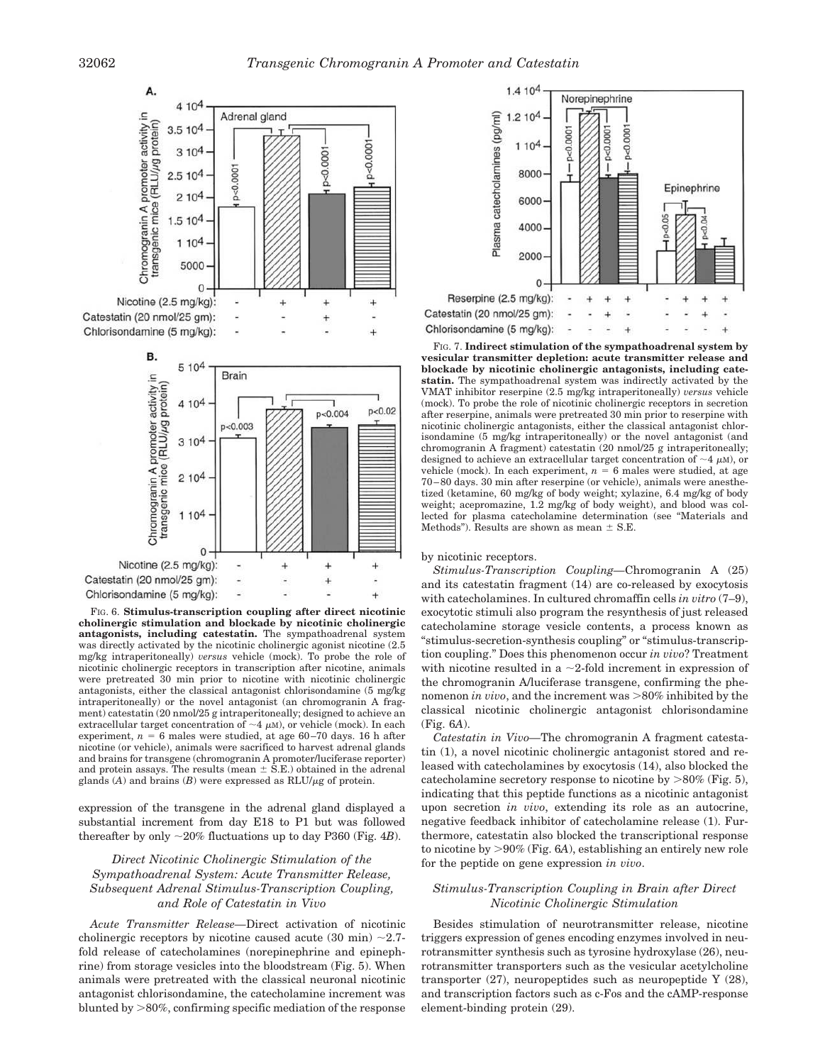

**cholinergic stimulation and blockade by nicotinic cholinergic antagonists, including catestatin.** The sympathoadrenal system was directly activated by the nicotinic cholinergic agonist nicotine (2.5 mg/kg intraperitoneally) *versus* vehicle (mock). To probe the role of nicotinic cholinergic receptors in transcription after nicotine, animals were pretreated 30 min prior to nicotine with nicotinic cholinergic antagonists, either the classical antagonist chlorisondamine (5 mg/kg intraperitoneally) or the novel antagonist (an chromogranin A fragment) catestatin (20 nmol/25 g intraperitoneally; designed to achieve an extracellular target concentration of  $\sim$ 4  $\mu$ M), or vehicle (mock). In each experiment,  $n = 6$  males were studied, at age  $60-70$  days. 16 h after nicotine (or vehicle), animals were sacrificed to harvest adrenal glands and brains for transgene (chromogranin A promoter/luciferase reporter) and protein assays. The results (mean  $\pm$  S.E.) obtained in the adrenal glands  $(A)$  and brains  $(B)$  were expressed as  $RLU/\mu$ g of protein.

expression of the transgene in the adrenal gland displayed a substantial increment from day E18 to P1 but was followed thereafter by only  $\sim$ 20% fluctuations up to day P360 (Fig. 4*B*).

# *Direct Nicotinic Cholinergic Stimulation of the Sympathoadrenal System: Acute Transmitter Release, Subsequent Adrenal Stimulus-Transcription Coupling, and Role of Catestatin in Vivo*

*Acute Transmitter Release—*Direct activation of nicotinic cholinergic receptors by nicotine caused acute  $(30 \text{ min}) \sim 2.7$ fold release of catecholamines (norepinephrine and epinephrine) from storage vesicles into the bloodstream (Fig. 5). When animals were pretreated with the classical neuronal nicotinic antagonist chlorisondamine, the catecholamine increment was blunted by  $>80\%$ , confirming specific mediation of the response



FIG. 7. **Indirect stimulation of the sympathoadrenal system by vesicular transmitter depletion: acute transmitter release and blockade by nicotinic cholinergic antagonists, including catestatin.** The sympathoadrenal system was indirectly activated by the VMAT inhibitor reserpine (2.5 mg/kg intraperitoneally) *versus* vehicle (mock). To probe the role of nicotinic cholinergic receptors in secretion after reserpine, animals were pretreated 30 min prior to reserpine with nicotinic cholinergic antagonists, either the classical antagonist chlorisondamine (5 mg/kg intraperitoneally) or the novel antagonist (and chromogranin A fragment) catestatin (20 nmol/25 g intraperitoneally; designed to achieve an extracellular target concentration of  $\sim$ 4  $\mu$ M), or vehicle (mock). In each experiment,  $n = 6$  males were studied, at age 70–80 days. 30 min after reserpine (or vehicle), animals were anesthetized (ketamine, 60 mg/kg of body weight; xylazine, 6.4 mg/kg of body weight; acepromazine, 1.2 mg/kg of body weight), and blood was collected for plasma catecholamine determination (see "Materials and Methods"). Results are shown as mean  $\pm$  S.E.

#### by nicotinic receptors.

*Stimulus-Transcription Coupling—*Chromogranin A (25) and its catestatin fragment (14) are co-released by exocytosis with catecholamines. In cultured chromaffin cells *in vitro* (7–9), exocytotic stimuli also program the resynthesis of just released catecholamine storage vesicle contents, a process known as "stimulus-secretion-synthesis coupling" or "stimulus-transcription coupling." Does this phenomenon occur *in vivo*? Treatment with nicotine resulted in a  $\sim$  2-fold increment in expression of the chromogranin A/luciferase transgene, confirming the phenomenon *in vivo*, and the increment was >80% inhibited by the classical nicotinic cholinergic antagonist chlorisondamine (Fig. 6*A*).

*Catestatin in Vivo—*The chromogranin A fragment catestatin (1), a novel nicotinic cholinergic antagonist stored and released with catecholamines by exocytosis (14), also blocked the cate cholamine secretory response to nicotine by  $>80\%$  (Fig. 5), indicating that this peptide functions as a nicotinic antagonist upon secretion *in vivo*, extending its role as an autocrine, negative feedback inhibitor of catecholamine release (1). Furthermore, catestatin also blocked the transcriptional response to nicotine by 90% (Fig. 6*A*), establishing an entirely new role for the peptide on gene expression *in vivo*.

## *Stimulus-Transcription Coupling in Brain after Direct Nicotinic Cholinergic Stimulation*

Besides stimulation of neurotransmitter release, nicotine triggers expression of genes encoding enzymes involved in neurotransmitter synthesis such as tyrosine hydroxylase (26), neurotransmitter transporters such as the vesicular acetylcholine transporter  $(27)$ , neuropeptides such as neuropeptide Y  $(28)$ , and transcription factors such as c-Fos and the cAMP-response element-binding protein (29).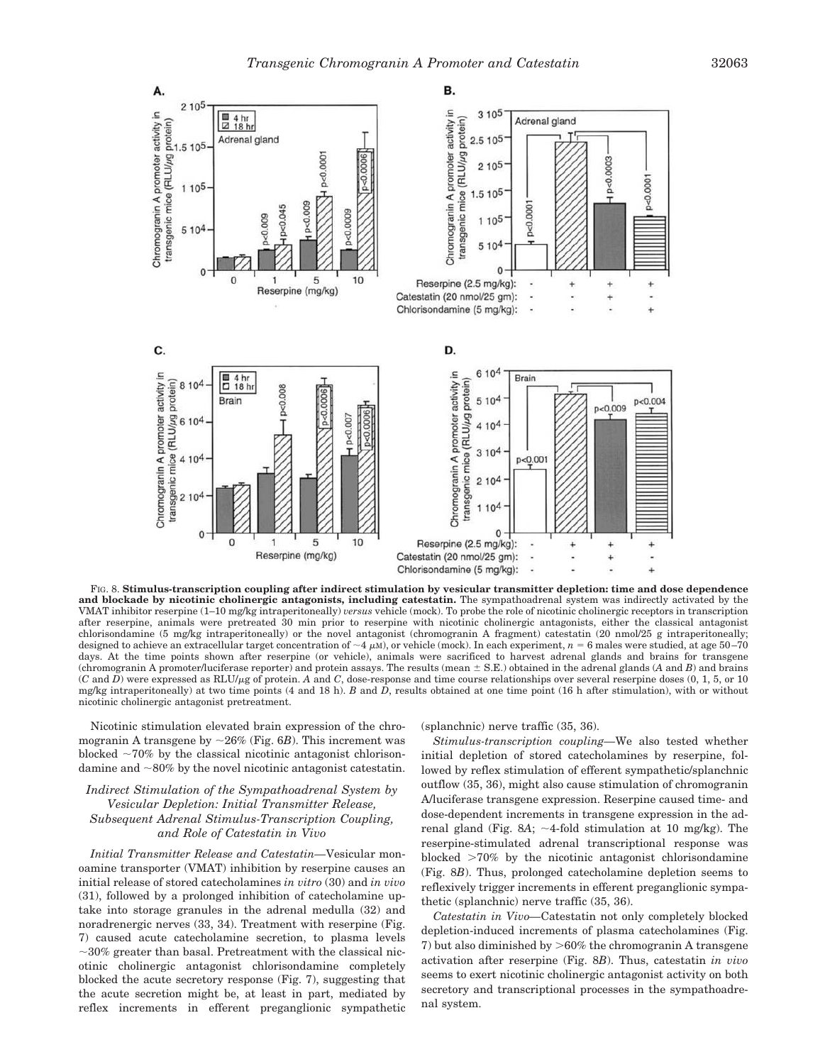

FIG. 8. **Stimulus-transcription coupling after indirect stimulation by vesicular transmitter depletion: time and dose dependence and blockade by nicotinic cholinergic antagonists, including catestatin.** The sympathoadrenal system was indirectly activated by the VMAT inhibitor reserpine (1–10 mg/kg intraperitoneally) *versus* vehicle (mock). To probe the role of nicotinic cholinergic receptors in transcription after reserpine, animals were pretreated 30 min prior to reserpine with nicotinic cholinergic antagonists, either the classical antagonist chlorisondamine (5 mg/kg intraperitoneally) or the novel antagonist (chromogranin A fragment) catestatin (20 nmol/25 g intraperitoneally; designed to achieve an extracellular target concentration of  $\sim$ 4  $\mu$ M), or vehicle (mock). In each experiment,  $n = 6$  males were studied, at age 50–70 days. At the time points shown after reserpine (or vehicle), animals were sacrificed to harvest adrenal glands and brains for transgene (chromogranin A promoter/luciferase reporter) and protein assays. The results (mean S.E.) obtained in the adrenal glands (*A* and *B*) and brains  $(C \text{ and } D)$  were expressed as RLU/ $\mu$ g of protein. A and C, dose-response and time course relationships over several reserpine doses  $(0, 1, 5, 0, 10)$ mg/kg intraperitoneally) at two time points (4 and 18 h). *B* and *D*, results obtained at one time point (16 h after stimulation), with or without nicotinic cholinergic antagonist pretreatment.

Nicotinic stimulation elevated brain expression of the chromogranin A transgene by  $\sim$  26% (Fig. 6*B*). This increment was blocked  $\sim$ 70% by the classical nicotinic antagonist chlorisondamine and  $\sim80\%$  by the novel nicotinic antagonist catestatin.

# *Indirect Stimulation of the Sympathoadrenal System by Vesicular Depletion: Initial Transmitter Release, Subsequent Adrenal Stimulus-Transcription Coupling, and Role of Catestatin in Vivo*

*Initial Transmitter Release and Catestatin—*Vesicular monoamine transporter (VMAT) inhibition by reserpine causes an initial release of stored catecholamines *in vitro* (30) and *in vivo* (31), followed by a prolonged inhibition of catecholamine uptake into storage granules in the adrenal medulla (32) and noradrenergic nerves (33, 34). Treatment with reserpine (Fig. 7) caused acute catecholamine secretion, to plasma levels  $\sim$ 30% greater than basal. Pretreatment with the classical nicotinic cholinergic antagonist chlorisondamine completely blocked the acute secretory response (Fig. 7), suggesting that the acute secretion might be, at least in part, mediated by reflex increments in efferent preganglionic sympathetic

#### (splanchnic) nerve traffic (35, 36).

*Stimulus-transcription coupling—*We also tested whether initial depletion of stored catecholamines by reserpine, followed by reflex stimulation of efferent sympathetic/splanchnic outflow (35, 36), might also cause stimulation of chromogranin A/luciferase transgene expression. Reserpine caused time- and dose-dependent increments in transgene expression in the adrenal gland (Fig. 8A;  $\sim$ 4-fold stimulation at 10 mg/kg). The reserpine-stimulated adrenal transcriptional response was blocked  $>70\%$  by the nicotinic antagonist chlorisondamine (Fig. 8*B*). Thus, prolonged catecholamine depletion seems to reflexively trigger increments in efferent preganglionic sympathetic (splanchnic) nerve traffic (35, 36).

*Catestatin in Vivo—*Catestatin not only completely blocked depletion-induced increments of plasma catecholamines (Fig. 7) but also diminished by  $>60\%$  the chromogranin A transgene activation after reserpine (Fig. 8*B*). Thus, catestatin *in vivo* seems to exert nicotinic cholinergic antagonist activity on both secretory and transcriptional processes in the sympathoadrenal system.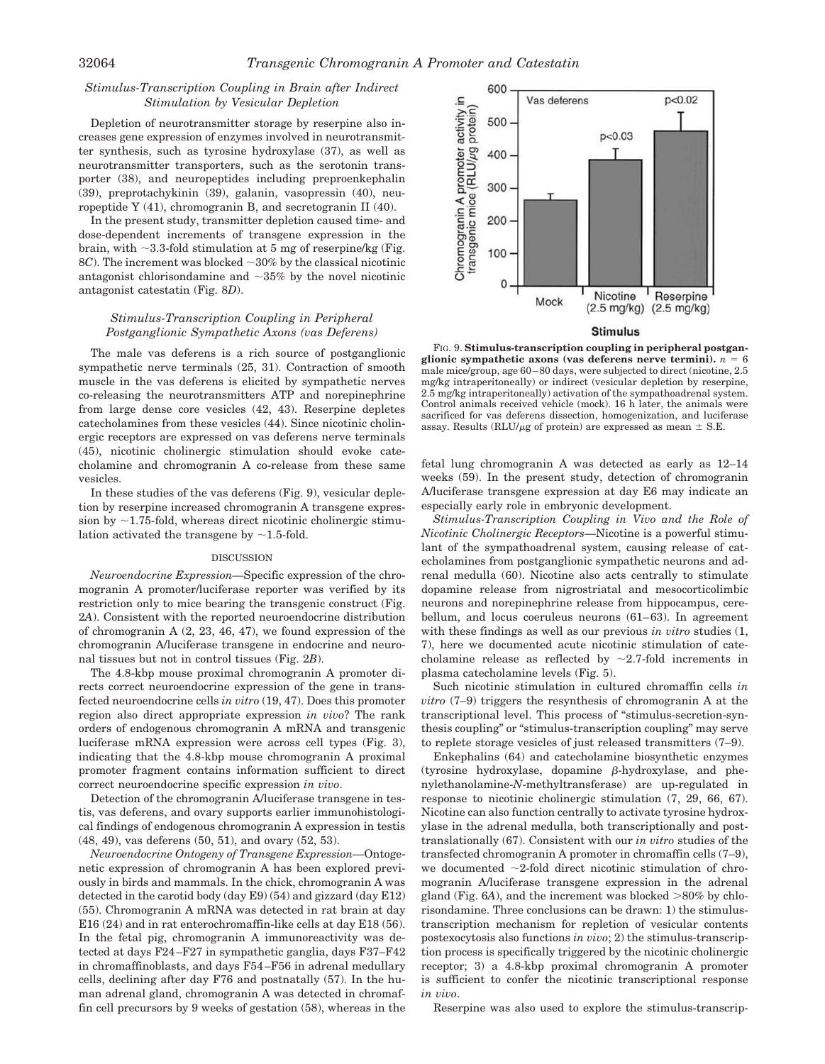# *Stimulus-Transcription Coupling in Brain after Indirect Stimulation by Vesicular Depletion*

Depletion of neurotransmitter storage by reserpine also increases gene expression of enzymes involved in neurotransmitter synthesis, such as tyrosine hydroxylase (37), as well as neurotransmitter transporters, such as the serotonin transporter (38), and neuropeptides including preproenkephalin (39), preprotachykinin (39), galanin, vasopressin (40), neuropeptide Y (41), chromogranin B, and secretogranin II (40).

In the present study, transmitter depletion caused time- and dose-dependent increments of transgene expression in the brain, with  $\sim$ 3.3-fold stimulation at 5 mg of reserpine/kg (Fig. 8*C*). The increment was blocked  $\sim$ 30% by the classical nicotinic antagonist chlorisondamine and  $\sim$ 35% by the novel nicotinic antagonist catestatin (Fig. 8*D*).

# *Stimulus-Transcription Coupling in Peripheral Postganglionic Sympathetic Axons (vas Deferens)*

The male vas deferens is a rich source of postganglionic sympathetic nerve terminals (25, 31). Contraction of smooth muscle in the vas deferens is elicited by sympathetic nerves co-releasing the neurotransmitters ATP and norepinephrine from large dense core vesicles (42, 43). Reserpine depletes catecholamines from these vesicles (44). Since nicotinic cholinergic receptors are expressed on vas deferens nerve terminals (45), nicotinic cholinergic stimulation should evoke catecholamine and chromogranin A co-release from these same vesicles.

In these studies of the vas deferens (Fig. 9), vesicular depletion by reserpine increased chromogranin A transgene expression by  $\sim$ 1.75-fold, whereas direct nicotinic cholinergic stimulation activated the transgene by  $\sim$ 1.5-fold.

#### DISCUSSION

*Neuroendocrine Expression—*Specific expression of the chromogranin A promoter/luciferase reporter was verified by its restriction only to mice bearing the transgenic construct (Fig. 2*A*). Consistent with the reported neuroendocrine distribution of chromogranin A (2, 23, 46, 47), we found expression of the chromogranin A/luciferase transgene in endocrine and neuronal tissues but not in control tissues (Fig. 2*B*).

The 4.8-kbp mouse proximal chromogranin A promoter directs correct neuroendocrine expression of the gene in transfected neuroendocrine cells *in vitro* (19, 47). Does this promoter region also direct appropriate expression *in vivo*? The rank orders of endogenous chromogranin A mRNA and transgenic luciferase mRNA expression were across cell types (Fig. 3), indicating that the 4.8-kbp mouse chromogranin A proximal promoter fragment contains information sufficient to direct correct neuroendocrine specific expression *in vivo*.

Detection of the chromogranin A/luciferase transgene in testis, vas deferens, and ovary supports earlier immunohistological findings of endogenous chromogranin A expression in testis (48, 49), vas deferens (50, 51), and ovary (52, 53).

*Neuroendocrine Ontogeny of Transgene Expression—*Ontogenetic expression of chromogranin A has been explored previously in birds and mammals. In the chick, chromogranin A was detected in the carotid body (day  $E9$ ) (54) and gizzard (day  $E12$ ) (55). Chromogranin A mRNA was detected in rat brain at day E16 (24) and in rat enterochromaffin-like cells at day E18 (56). In the fetal pig, chromogranin A immunoreactivity was detected at days F24–F27 in sympathetic ganglia, days F37–F42 in chromaffinoblasts, and days F54–F56 in adrenal medullary cells, declining after day F76 and postnatally (57). In the human adrenal gland, chromogranin A was detected in chromaffin cell precursors by 9 weeks of gestation (58), whereas in the



**Stimulus** 

FIG. 9. **Stimulus-transcription coupling in peripheral postgan**glionic sympathetic axons (vas deferens nerve termini).  $n = 6$ male mice/group, age 60–80 days, were subjected to direct (nicotine, 2.5 mg/kg intraperitoneally) or indirect (vesicular depletion by reserpine, 2.5 mg/kg intraperitoneally) activation of the sympathoadrenal system. Control animals received vehicle (mock). 16 h later, the animals were sacrificed for vas deferens dissection, homogenization, and luciferase assay. Results (RLU/ $\mu$ g of protein) are expressed as mean  $\pm$  S.E.

fetal lung chromogranin A was detected as early as 12–14 weeks (59). In the present study, detection of chromogranin A/luciferase transgene expression at day E6 may indicate an especially early role in embryonic development.

*Stimulus-Transcription Coupling in Vivo and the Role of Nicotinic Cholinergic Receptors—*Nicotine is a powerful stimulant of the sympathoadrenal system, causing release of catecholamines from postganglionic sympathetic neurons and adrenal medulla (60). Nicotine also acts centrally to stimulate dopamine release from nigrostriatal and mesocorticolimbic neurons and norepinephrine release from hippocampus, cerebellum, and locus coeruleus neurons (61–63). In agreement with these findings as well as our previous *in vitro* studies (1, 7), here we documented acute nicotinic stimulation of catecholamine release as reflected by  $\sim$ 2.7-fold increments in plasma catecholamine levels (Fig. 5).

Such nicotinic stimulation in cultured chromaffin cells *in vitro* (7–9) triggers the resynthesis of chromogranin A at the transcriptional level. This process of "stimulus-secretion-synthesis coupling" or "stimulus-transcription coupling" may serve to replete storage vesicles of just released transmitters (7–9).

Enkephalins (64) and catecholamine biosynthetic enzymes  $(tyrosine$  hydroxylase, dopamine  $\beta$ -hydroxylase, and phenylethanolamine-*N*-methyltransferase) are up-regulated in response to nicotinic cholinergic stimulation (7, 29, 66, 67). Nicotine can also function centrally to activate tyrosine hydroxylase in the adrenal medulla, both transcriptionally and posttranslationally (67). Consistent with our *in vitro* studies of the transfected chromogranin A promoter in chromaffin cells (7–9), we documented  $\sim$ 2-fold direct nicotinic stimulation of chromogranin A/luciferase transgene expression in the adrenal gland (Fig.  $6A$ ), and the increment was blocked  $>80\%$  by chlorisondamine. Three conclusions can be drawn: 1) the stimulustranscription mechanism for repletion of vesicular contents postexocytosis also functions *in vivo*; 2) the stimulus-transcription process is specifically triggered by the nicotinic cholinergic receptor; 3) a 4.8-kbp proximal chromogranin A promoter is sufficient to confer the nicotinic transcriptional response *in vivo*.

Reserpine was also used to explore the stimulus-transcrip-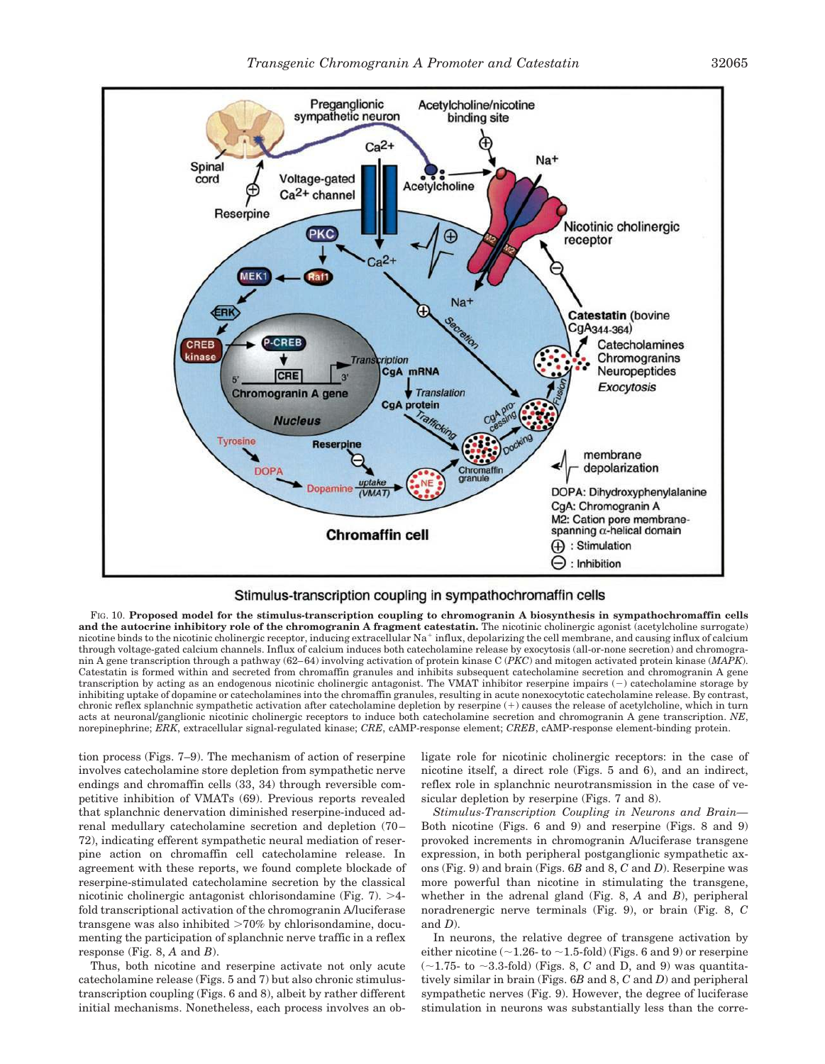

## Stimulus-transcription coupling in sympathochromaffin cells

FIG. 10. **Proposed model for the stimulus-transcription coupling to chromogranin A biosynthesis in sympathochromaffin cells and the autocrine inhibitory role of the chromogranin A fragment catestatin.** The nicotinic cholinergic agonist (acetylcholine surrogate) nicotine binds to the nicotinic cholinergic receptor, inducing extracellular  $\mathrm{Na}^+$  influx, depolarizing the cell membrane, and causing influx of calcium through voltage-gated calcium channels. Influx of calcium induces both catecholamine release by exocytosis (all-or-none secretion) and chromogranin A gene transcription through a pathway (62–64) involving activation of protein kinase C (*PKC*) and mitogen activated protein kinase (*MAPK*). Catestatin is formed within and secreted from chromaffin granules and inhibits subsequent catecholamine secretion and chromogranin A gene transcription by acting as an endogenous nicotinic cholinergic antagonist. The VMAT inhibitor reserpine impairs  $(-)$  catecholamine storage by inhibiting uptake of dopamine or catecholamines into the chromaffin granules, resulting in acute nonexocytotic catecholamine release. By contrast, chronic reflex splanchnic sympathetic activation after catecholamine depletion by reserpine (-) causes the release of acetylcholine, which in turn acts at neuronal/ganglionic nicotinic cholinergic receptors to induce both catecholamine secretion and chromogranin A gene transcription. *NE*, norepinephrine; *ERK*, extracellular signal-regulated kinase; *CRE*, cAMP-response element; *CREB*, cAMP-response element-binding protein.

tion process (Figs. 7–9). The mechanism of action of reserpine involves catecholamine store depletion from sympathetic nerve endings and chromaffin cells (33, 34) through reversible competitive inhibition of VMATs (69). Previous reports revealed that splanchnic denervation diminished reserpine-induced adrenal medullary catecholamine secretion and depletion (70– 72), indicating efferent sympathetic neural mediation of reserpine action on chromaffin cell catecholamine release. In agreement with these reports, we found complete blockade of reserpine-stimulated catecholamine secretion by the classical nicotinic cholinergic antagonist chlorisondamine (Fig. 7).  $>4$ fold transcriptional activation of the chromogranin A/luciferase transgene was also inhibited  $>70\%$  by chlorisondamine, documenting the participation of splanchnic nerve traffic in a reflex response (Fig. 8, *A* and *B*).

Thus, both nicotine and reserpine activate not only acute catecholamine release (Figs. 5 and 7) but also chronic stimulustranscription coupling (Figs. 6 and 8), albeit by rather different initial mechanisms. Nonetheless, each process involves an obligate role for nicotinic cholinergic receptors: in the case of nicotine itself, a direct role (Figs. 5 and 6), and an indirect, reflex role in splanchnic neurotransmission in the case of vesicular depletion by reserpine (Figs. 7 and 8).

*Stimulus-Transcription Coupling in Neurons and Brain—* Both nicotine (Figs. 6 and 9) and reserpine (Figs. 8 and 9) provoked increments in chromogranin A/luciferase transgene expression, in both peripheral postganglionic sympathetic axons (Fig. 9) and brain (Figs. 6*B* and 8, *C* and *D*). Reserpine was more powerful than nicotine in stimulating the transgene, whether in the adrenal gland (Fig. 8, *A* and *B*), peripheral noradrenergic nerve terminals (Fig. 9), or brain (Fig. 8, *C* and *D*).

In neurons, the relative degree of transgene activation by either nicotine ( $\sim$ 1.26- to  $\sim$ 1.5-fold) (Figs. 6 and 9) or reserpine  $(\sim 1.75$ - to  $\sim 3.3$ -fold) (Figs. 8, *C* and D, and 9) was quantitatively similar in brain (Figs. 6*B* and 8, *C* and *D*) and peripheral sympathetic nerves (Fig. 9). However, the degree of luciferase stimulation in neurons was substantially less than the corre-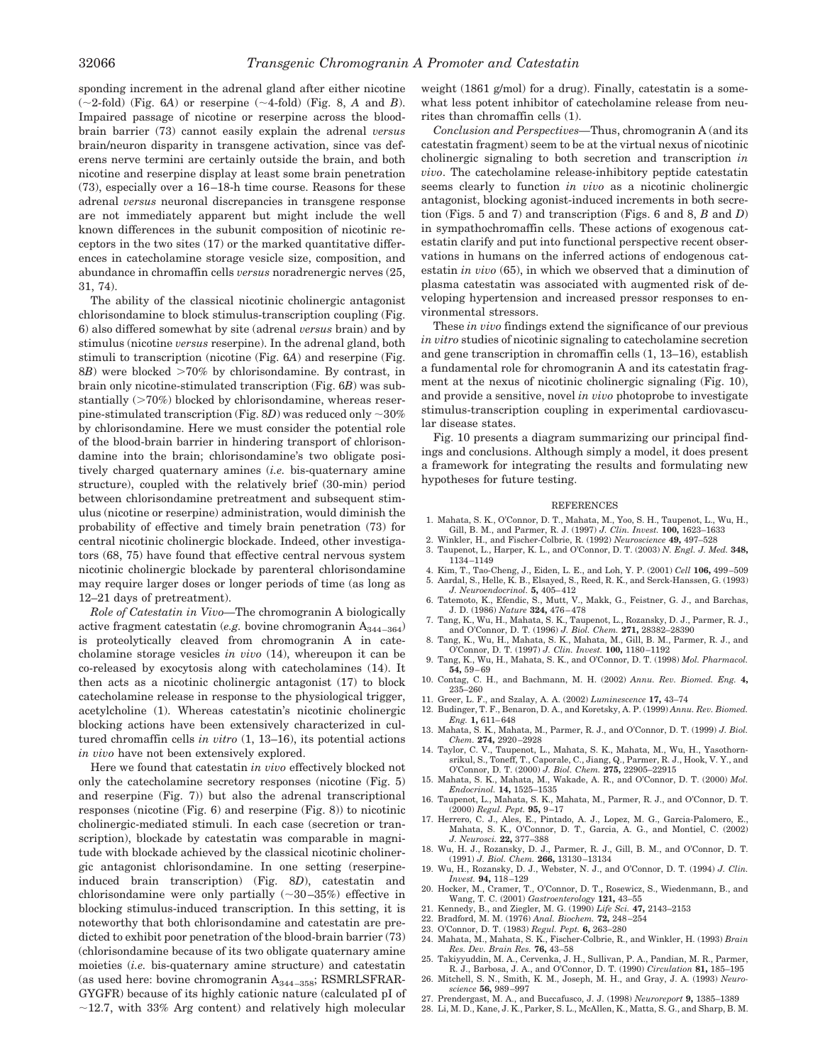sponding increment in the adrenal gland after either nicotine  $(\sim 2\text{-fold})$  (Fig. 6A) or reserpine  $(\sim 4\text{-fold})$  (Fig. 8, A and *B*). Impaired passage of nicotine or reserpine across the bloodbrain barrier (73) cannot easily explain the adrenal *versus* brain/neuron disparity in transgene activation, since vas deferens nerve termini are certainly outside the brain, and both nicotine and reserpine display at least some brain penetration (73), especially over a 16–18-h time course. Reasons for these adrenal *versus* neuronal discrepancies in transgene response are not immediately apparent but might include the well known differences in the subunit composition of nicotinic receptors in the two sites (17) or the marked quantitative differences in catecholamine storage vesicle size, composition, and abundance in chromaffin cells *versus* noradrenergic nerves (25, 31, 74).

The ability of the classical nicotinic cholinergic antagonist chlorisondamine to block stimulus-transcription coupling (Fig. 6) also differed somewhat by site (adrenal *versus* brain) and by stimulus (nicotine *versus* reserpine). In the adrenal gland, both stimuli to transcription (nicotine (Fig. 6*A*) and reserpine (Fig. 8*B*) were blocked >70% by chlorisondamine. By contrast, in brain only nicotine-stimulated transcription (Fig. 6*B*) was substantially  $(>70%)$  blocked by chlorisondamine, whereas reserpine-stimulated transcription (Fig.  $8D$ ) was reduced only  $\sim$  30% by chlorisondamine. Here we must consider the potential role of the blood-brain barrier in hindering transport of chlorisondamine into the brain; chlorisondamine's two obligate positively charged quaternary amines (*i.e.* bis-quaternary amine structure), coupled with the relatively brief (30-min) period between chlorisondamine pretreatment and subsequent stimulus (nicotine or reserpine) administration, would diminish the probability of effective and timely brain penetration (73) for central nicotinic cholinergic blockade. Indeed, other investigators (68, 75) have found that effective central nervous system nicotinic cholinergic blockade by parenteral chlorisondamine may require larger doses or longer periods of time (as long as 12–21 days of pretreatment).

*Role of Catestatin in Vivo—*The chromogranin A biologically active fragment catestatin (*e.g.* bovine chromogranin  $A_{344-364}$ ) is proteolytically cleaved from chromogranin A in catecholamine storage vesicles *in vivo* (14), whereupon it can be co-released by exocytosis along with catecholamines (14). It then acts as a nicotinic cholinergic antagonist (17) to block catecholamine release in response to the physiological trigger, acetylcholine (1). Whereas catestatin's nicotinic cholinergic blocking actions have been extensively characterized in cultured chromaffin cells *in vitro* (1, 13–16), its potential actions *in vivo* have not been extensively explored.

Here we found that catestatin *in vivo* effectively blocked not only the catecholamine secretory responses (nicotine (Fig. 5) and reserpine (Fig. 7)) but also the adrenal transcriptional responses (nicotine (Fig. 6) and reserpine (Fig. 8)) to nicotinic cholinergic-mediated stimuli. In each case (secretion or transcription), blockade by catestatin was comparable in magnitude with blockade achieved by the classical nicotinic cholinergic antagonist chlorisondamine. In one setting (reserpineinduced brain transcription) (Fig. 8*D*), catestatin and chlorisondamine were only partially  $(\sim 30-35%)$  effective in blocking stimulus-induced transcription. In this setting, it is noteworthy that both chlorisondamine and catestatin are predicted to exhibit poor penetration of the blood-brain barrier (73) (chlorisondamine because of its two obligate quaternary amine moieties (*i.e.* bis-quaternary amine structure) and catestatin (as used here: bovine chromogranin  $A_{344-358}$ ; RSMRLSFRAR-GYGFR) because of its highly cationic nature (calculated pI of  $\sim$ 12.7, with 33% Arg content) and relatively high molecular

weight (1861 g/mol) for a drug). Finally, catestatin is a somewhat less potent inhibitor of catecholamine release from neurites than chromaffin cells (1).

*Conclusion and Perspectives—*Thus, chromogranin A (and its catestatin fragment) seem to be at the virtual nexus of nicotinic cholinergic signaling to both secretion and transcription *in vivo*. The catecholamine release-inhibitory peptide catestatin seems clearly to function *in vivo* as a nicotinic cholinergic antagonist, blocking agonist-induced increments in both secretion (Figs. 5 and 7) and transcription (Figs. 6 and 8, *B* and *D*) in sympathochromaffin cells. These actions of exogenous catestatin clarify and put into functional perspective recent observations in humans on the inferred actions of endogenous catestatin *in vivo* (65), in which we observed that a diminution of plasma catestatin was associated with augmented risk of developing hypertension and increased pressor responses to environmental stressors.

These *in vivo* findings extend the significance of our previous *in vitro* studies of nicotinic signaling to catecholamine secretion and gene transcription in chromaffin cells (1, 13–16), establish a fundamental role for chromogranin A and its catestatin fragment at the nexus of nicotinic cholinergic signaling (Fig. 10), and provide a sensitive, novel *in vivo* photoprobe to investigate stimulus-transcription coupling in experimental cardiovascular disease states.

Fig. 10 presents a diagram summarizing our principal findings and conclusions. Although simply a model, it does present a framework for integrating the results and formulating new hypotheses for future testing.

#### **REFERENCES**

- 1. Mahata, S. K., O'Connor, D. T., Mahata, M., Yoo, S. H., Taupenot, L., Wu, H., Gill, B. M., and Parmer, R. J. (1997) *J. Clin. Invest.* **100,** 1623–1633
- 2. Winkler, H., and Fischer-Colbrie, R. (1992) *Neuroscience* **49,** 497–528
- 3. Taupenot, L., Harper, K. L., and O'Connor, D. T. (2003) *N. Engl. J. Med.* **348,** 1134–1149
- 4. Kim, T., Tao-Cheng, J., Eiden, L. E., and Loh, Y. P. (2001) *Cell* **106,** 499–509 5. Aardal, S., Helle, K. B., Elsayed, S., Reed, R. K., and Serck-Hanssen, G. (1993) *J. Neuroendocrinol.* **5,** 405–412
- 6. Tatemoto, K., Efendic, S., Mutt, V., Makk, G., Feistner, G. J., and Barchas, J. D. (1986) *Nature* **324,** 476–478
- 7. Tang, K., Wu, H., Mahata, S. K., Taupenot, L., Rozansky, D. J., Parmer, R. J., and O'Connor, D. T. (1996) *J. Biol. Chem.* **271,** 28382–28390
- 8. Tang, K., Wu, H., Mahata, S. K., Mahata, M., Gill, B. M., Parmer, R. J., and O'Connor, D. T. (1997) *J. Clin. Invest.* **100,** 1180–1192 9. Tang, K., Wu, H., Mahata, S. K., and O'Connor, D. T. (1998) *Mol. Pharmacol.*
- **54,** 59–69 10. Contag, C. H., and Bachmann, M. H. (2002) *Annu. Rev. Biomed. Eng.* **4,**
- 235–260 11. Greer, L. F., and Szalay, A. A. (2002) *Luminescence* **17,** 43–74
- 12. Budinger, T. F., Benaron, D. A., and Koretsky, A. P. (1999) *Annu. Rev. Biomed. Eng.* **1,** 611–648
- 13. Mahata, S. K., Mahata, M., Parmer, R. J., and O'Connor, D. T. (1999) *J. Biol. Chem.* **274,** 2920–2928
- 14. Taylor, C. V., Taupenot, L., Mahata, S. K., Mahata, M., Wu, H., Yasothornsrikul, S., Toneff, T., Caporale, C., Jiang, Q., Parmer, R. J., Hook, V. Y., and O'Connor, D. T. (2000) *J. Biol. Chem.* **275,** 22905–22915
- 15. Mahata, S. K., Mahata, M., Wakade, A. R., and O'Connor, D. T. (2000) *Mol. Endocrinol.* **14,** 1525–1535
- 16. Taupenot, L., Mahata, S. K., Mahata, M., Parmer, R. J., and O'Connor, D. T. (2000) *Regul. Pept.* **95,** 9–17
- 17. Herrero, C. J., Ales, E., Pintado, A. J., Lopez, M. G., Garcia-Palomero, E., Mahata, S. K., O'Connor, D. T., Garcia, A. G., and Montiel, C. (2002) *J. Neurosci.* **22,** 377–388
- 18. Wu, H. J., Rozansky, D. J., Parmer, R. J., Gill, B. M., and O'Connor, D. T. (1991) *J. Biol. Chem.* **266,** 13130–13134
- 19. Wu, H., Rozansky, D. J., Webster, N. J., and O'Connor, D. T. (1994) *J. Clin. Invest.* **94,** 118–129
- 20. Hocker, M., Cramer, T., O'Connor, D. T., Rosewicz, S., Wiedenmann, B., and Wang, T. C. (2001) *Gastroenterology* **121,** 43–55
- 21. Kennedy, B., and Ziegler, M. G. (1990) *Life Sci.* **47,** 2143–2153
- 22. Bradford, M. M. (1976) *Anal. Biochem.* **72,** 248–254
- 23. O'Connor, D. T. (1983) *Regul. Pept.* **6,** 263–280
- 24. Mahata, M., Mahata, S. K., Fischer-Colbrie, R., and Winkler, H. (1993) *Brain Res. Dev. Brain Res.* **76,** 43–58 25. Takiyyuddin, M. A., Cervenka, J. H., Sullivan, P. A., Pandian, M. R., Parmer,
- R. J., Barbosa, J. A., and O'Connor, D. T. (1990) *Circulation* **81,** 185–195 26. Mitchell, S. N., Smith, K. M., Joseph, M. H., and Gray, J. A. (1993) *Neuro-*
- *science* **56,** 989–997
- 27. Prendergast, M. A., and Buccafusco, J. J. (1998) *Neuroreport* **9,** 1385–1389
- 28. Li, M. D., Kane, J. K., Parker, S. L., McAllen, K., Matta, S. G., and Sharp, B. M.